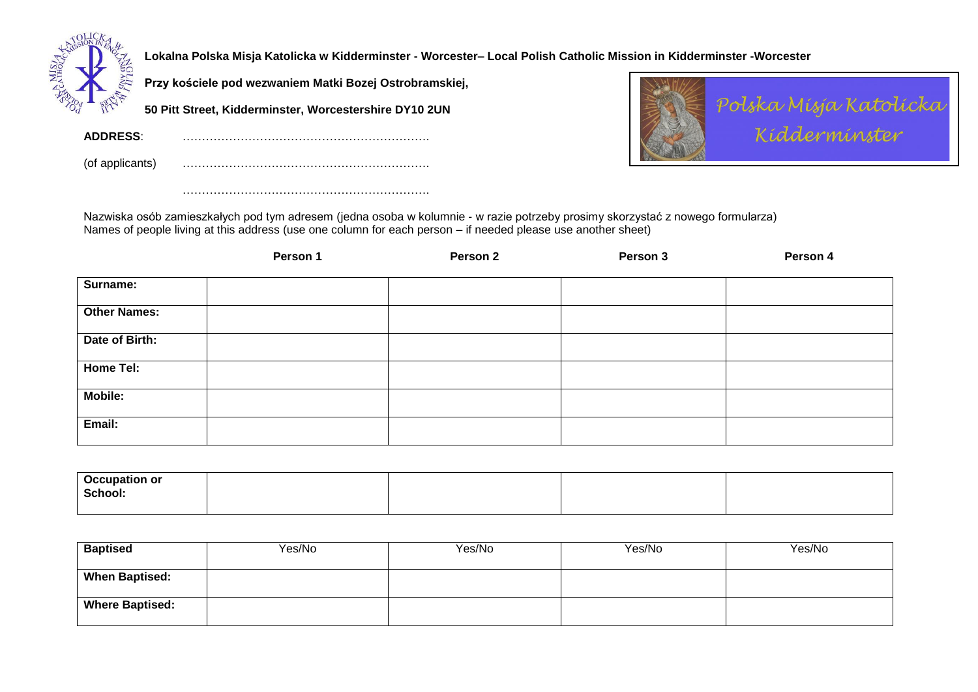

**Lokalna Polska Misja Katolicka w Kidderminster - Worcester– Local Polish Catholic Mission in Kidderminster -Worcester**

**Przy kościele pod wezwaniem Matki Bozej Ostrobramskiej,** 

……………………………………………………….

**50 Pitt Street, Kidderminster, Worcestershire DY10 2UN**

**ADDRESS**: ……………………………………………………….

(of applicants) ……………………………………………………….



Nazwiska osób zamieszkałych pod tym adresem (jedna osoba w kolumnie - w razie potrzeby prosimy skorzystać z nowego formularza) Names of people living at this address (use one column for each person – if needed please use another sheet)

|                     | Person 1 | Person 2 | Person 3 | Person 4 |
|---------------------|----------|----------|----------|----------|
| Surname:            |          |          |          |          |
| <b>Other Names:</b> |          |          |          |          |
| Date of Birth:      |          |          |          |          |
| Home Tel:           |          |          |          |          |
| Mobile:             |          |          |          |          |
| Email:              |          |          |          |          |

| <b>Occupation or</b> |  |  |
|----------------------|--|--|
| School:              |  |  |
|                      |  |  |

| <b>Baptised</b>        | Yes/No | Yes/No | Yes/No | Yes/No |
|------------------------|--------|--------|--------|--------|
| <b>When Baptised:</b>  |        |        |        |        |
| <b>Where Baptised:</b> |        |        |        |        |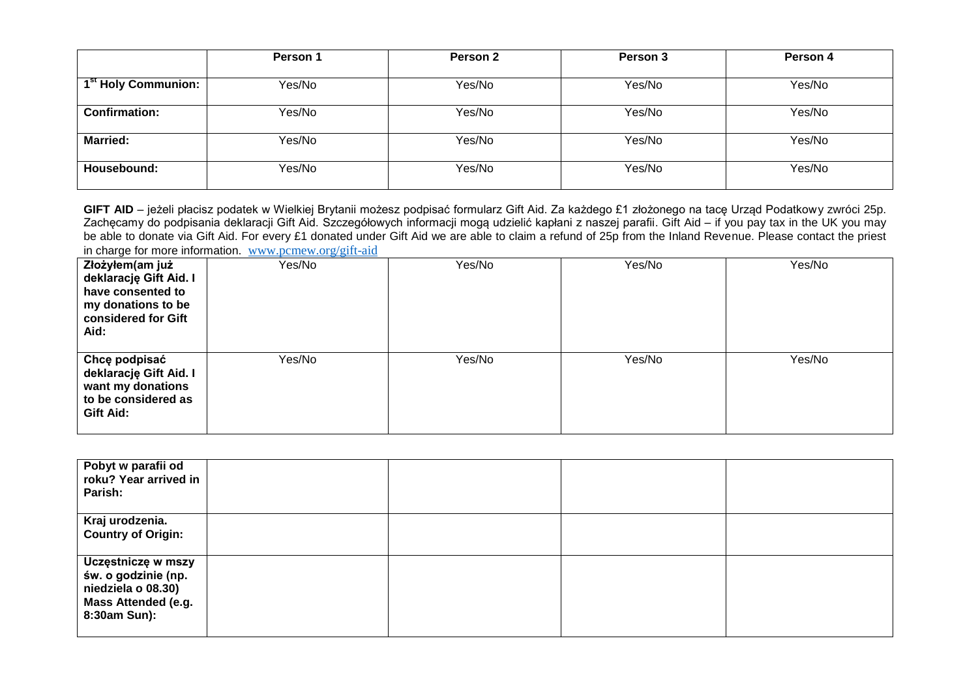|                                 | <b>Person 1</b> | Person 2 | Person 3 | Person 4 |
|---------------------------------|-----------------|----------|----------|----------|
|                                 |                 |          |          |          |
| 1 <sup>st</sup> Holy Communion: | Yes/No          | Yes/No   | Yes/No   | Yes/No   |
| <b>Confirmation:</b>            | Yes/No          | Yes/No   | Yes/No   | Yes/No   |
| <b>Married:</b>                 | Yes/No          | Yes/No   | Yes/No   | Yes/No   |
| Housebound:                     | Yes/No          | Yes/No   | Yes/No   | Yes/No   |

**GIFT AID** – jeżeli płacisz podatek w Wielkiej Brytanii możesz podpisać formularz Gift Aid. Za każdego £1 złożonego na tacę Urząd Podatkowy zwróci 25p. Zachęcamy do podpisania deklaracji Gift Aid. Szczegółowych informacji mogą udzielić kapłani z naszej parafii. Gift Aid – if you pay tax in the UK you may be able to donate via Gift Aid. For every £1 donated under Gift Aid we are able to claim a refund of 25p from the Inland Revenue. Please contact the priest in charge for more information. [www.pcmew.org/gift-aid](http://www.pcmew.org/gift-aid)

| Złożyłem(am już<br>deklarację Gift Aid. I<br>have consented to<br>my donations to be<br>considered for Gift<br>Aid: | Yes/No | Yes/No | Yes/No | Yes/No |
|---------------------------------------------------------------------------------------------------------------------|--------|--------|--------|--------|
| Chcę podpisać<br>deklarację Gift Aid. I<br>want my donations<br>to be considered as<br>Gift Aid:                    | Yes/No | Yes/No | Yes/No | Yes/No |

| Pobyt w parafii od<br>roku? Year arrived in<br>Parish:                                                        |  |  |
|---------------------------------------------------------------------------------------------------------------|--|--|
| Kraj urodzenia.<br><b>Country of Origin:</b>                                                                  |  |  |
| Uczęstniczę w mszy<br>św. o godzinie (np.<br>niedziela o 08.30)<br><b>Mass Attended (e.g.</b><br>8:30am Sun): |  |  |